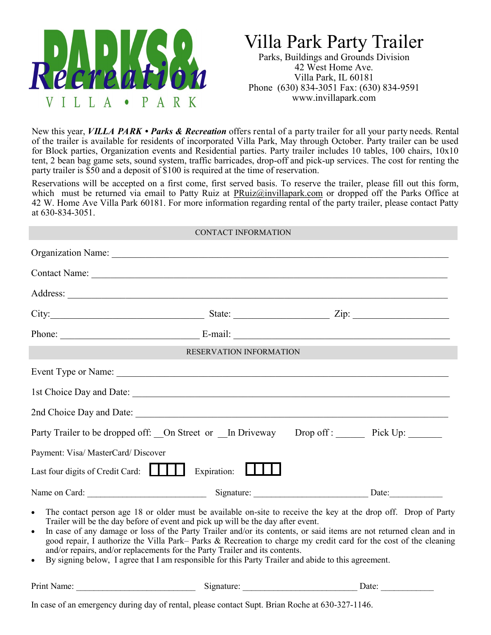

## Villa Park Party Trailer

Parks, Buildings and Grounds Division 42 West Home Ave. Villa Park, IL 60181 Phone (630) 834-3051 Fax: (630) 834-9591 www.invillapark.com

New this year, *VILLA PARK • Parks & Recreation* offers rental of a party trailer for all your party needs. Rental of the trailer is available for residents of incorporated Villa Park, May through October. Party trailer can be used for Block parties, Organization events and Residential parties. Party trailer includes 10 tables, 100 chairs, 10x10 tent, 2 bean bag game sets, sound system, traffic barricades, drop-off and pick-up services. The cost for renting the party trailer is \$50 and a deposit of \$100 is required at the time of reservation.

Reservations will be accepted on a first come, first served basis. To reserve the trailer, please fill out this form, which must be returned via email to Patty Ruiz at [PRuiz@invillapark.com](mailto:PRuiz@invillapark.com) or dropped off the Parks Office at 42 W. Home Ave Villa Park 60181. For more information regarding rental of the party trailer, please contact Patty at 630-834-3051.

|                                     | <b>CONTACT INFORMATION</b>                                                                                                                                                                         |  |
|-------------------------------------|----------------------------------------------------------------------------------------------------------------------------------------------------------------------------------------------------|--|
|                                     |                                                                                                                                                                                                    |  |
|                                     |                                                                                                                                                                                                    |  |
|                                     |                                                                                                                                                                                                    |  |
|                                     | City: $\frac{\text{City:}}{\text{List:}}$                                                                                                                                                          |  |
|                                     |                                                                                                                                                                                                    |  |
|                                     | <b>RESERVATION INFORMATION</b>                                                                                                                                                                     |  |
|                                     |                                                                                                                                                                                                    |  |
|                                     |                                                                                                                                                                                                    |  |
|                                     |                                                                                                                                                                                                    |  |
|                                     | Party Trailer to be dropped off: On Street or In Driveway Drop off: Pick Up:                                                                                                                       |  |
| Payment: Visa/ MasterCard/ Discover |                                                                                                                                                                                                    |  |
| Last four digits of Credit Card:    | Expiration:                                                                                                                                                                                        |  |
|                                     |                                                                                                                                                                                                    |  |
| $\bullet$                           | The contact person age 18 or older must be available on-site to receive the key at the drop off. Drop of Party<br>Trailer will be the day before of event and pick up will be the day after event. |  |

- In case of any damage or loss of the Party Trailer and/or its contents, or said items are not returned clean and in good repair, I authorize the Villa Park– Parks & Recreation to charge my credit card for the cost of the cleaning and/or repairs, and/or replacements for the Party Trailer and its contents.
- By signing below, I agree that I am responsible for this Party Trailer and abide to this agreement.

Print Name: 2001 and 2003 and 2003 Signature: 2008 and 2008 and 2008 and 2008 and 2008 and 2008 and 2008 and 200

In case of an emergency during day of rental, please contact Supt. Brian Roche at 630-327-1146.